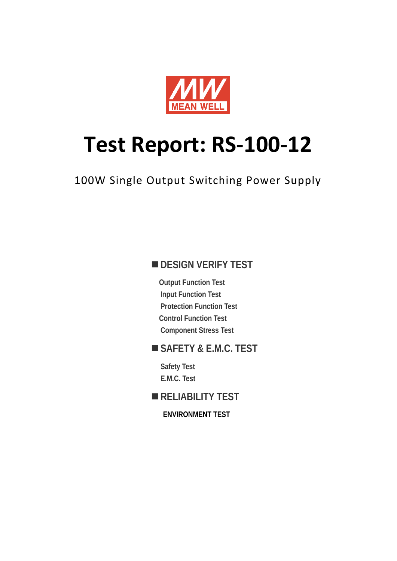

# **Test Report: RS-100-12**

100W Single Output Switching Power Supply

# **DESIGN VERIFY TEST**

**Output Function Test Input Function Test Protection Function Test Control Function Test Component Stress Test** 

## **SAFETY & E.M.C. TEST**

**Safety Test E.M.C. Test** 

# **RELIABILITY TEST**

**ENVIRONMENT TEST**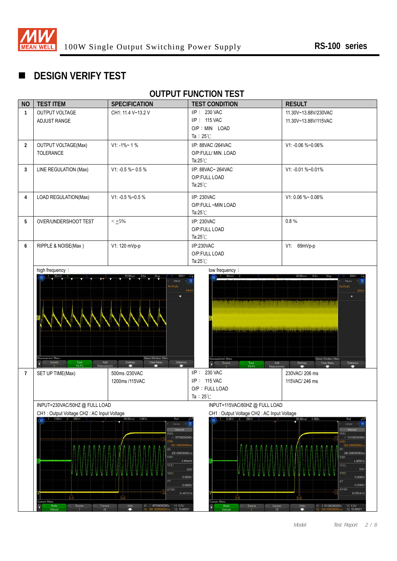

# **DESIGN VERIFY TEST**

# **OUTPUT FUNCTION TEST**

| <b>NO</b>      | <b>TEST ITEM</b>                                                                                                                                                                                                                                                                                                                                                              | <b>SPECIFICATION</b>                                                                          | <b>TEST CONDITION</b>                                                                                                                                                                                                                                                                                                        | <b>RESULT</b>                                                                                                                                                                                                                                                                                 |  |
|----------------|-------------------------------------------------------------------------------------------------------------------------------------------------------------------------------------------------------------------------------------------------------------------------------------------------------------------------------------------------------------------------------|-----------------------------------------------------------------------------------------------|------------------------------------------------------------------------------------------------------------------------------------------------------------------------------------------------------------------------------------------------------------------------------------------------------------------------------|-----------------------------------------------------------------------------------------------------------------------------------------------------------------------------------------------------------------------------------------------------------------------------------------------|--|
| $\mathbf{1}$   | OUTPUT VOLTAGE<br>ADJUST RANGE                                                                                                                                                                                                                                                                                                                                                | CH1: 11.4 V~13.2 V                                                                            | I/P: 230 VAC<br>I/P: 115 VAC                                                                                                                                                                                                                                                                                                 | 11.30V~13.88V/230VAC<br>11.30V~13.88V/115VAC                                                                                                                                                                                                                                                  |  |
|                |                                                                                                                                                                                                                                                                                                                                                                               |                                                                                               | O/P : MIN LOAD                                                                                                                                                                                                                                                                                                               |                                                                                                                                                                                                                                                                                               |  |
|                |                                                                                                                                                                                                                                                                                                                                                                               |                                                                                               | Ta: $25^{\circ}$ C                                                                                                                                                                                                                                                                                                           |                                                                                                                                                                                                                                                                                               |  |
| $\overline{2}$ | <b>OUTPUT VOLTAGE(Max)</b>                                                                                                                                                                                                                                                                                                                                                    | $V1: -1\% - 1\%$                                                                              | I/P: 88VAC /264VAC                                                                                                                                                                                                                                                                                                           | V1: -0.06 %~0.06%                                                                                                                                                                                                                                                                             |  |
|                | TOLERANCE                                                                                                                                                                                                                                                                                                                                                                     |                                                                                               | O/P:FULL/ MIN. LOAD                                                                                                                                                                                                                                                                                                          |                                                                                                                                                                                                                                                                                               |  |
|                |                                                                                                                                                                                                                                                                                                                                                                               |                                                                                               | Ta: $25^{\circ}$ C                                                                                                                                                                                                                                                                                                           |                                                                                                                                                                                                                                                                                               |  |
| $\mathbf{3}$   | LINE REGULATION (Max)                                                                                                                                                                                                                                                                                                                                                         | V1: -0.5 %~ 0.5 %                                                                             | I/P: 88VAC~ 264VAC                                                                                                                                                                                                                                                                                                           | V1: -0.01 %~0.01%                                                                                                                                                                                                                                                                             |  |
|                |                                                                                                                                                                                                                                                                                                                                                                               |                                                                                               | O/P:FULL LOAD<br>Ta: $25^{\circ}$ C                                                                                                                                                                                                                                                                                          |                                                                                                                                                                                                                                                                                               |  |
|                |                                                                                                                                                                                                                                                                                                                                                                               |                                                                                               |                                                                                                                                                                                                                                                                                                                              |                                                                                                                                                                                                                                                                                               |  |
| 4              | LOAD REGULATION(Max)                                                                                                                                                                                                                                                                                                                                                          | V1: -0.5 %~0.5 %                                                                              | I/P: 230VAC                                                                                                                                                                                                                                                                                                                  | V1:0.06 %~0.06%                                                                                                                                                                                                                                                                               |  |
|                |                                                                                                                                                                                                                                                                                                                                                                               |                                                                                               | O/P:FULL ~MIN LOAD<br>Ta: $25^{\circ}$ C                                                                                                                                                                                                                                                                                     |                                                                                                                                                                                                                                                                                               |  |
| 5              | OVER/UNDERSHOOT TEST                                                                                                                                                                                                                                                                                                                                                          | $< \pm 5\%$                                                                                   | I/P: 230VAC                                                                                                                                                                                                                                                                                                                  | 0.8%                                                                                                                                                                                                                                                                                          |  |
|                |                                                                                                                                                                                                                                                                                                                                                                               |                                                                                               | O/P:FULL LOAD                                                                                                                                                                                                                                                                                                                |                                                                                                                                                                                                                                                                                               |  |
|                |                                                                                                                                                                                                                                                                                                                                                                               |                                                                                               | Ta: $25^{\circ}$ C                                                                                                                                                                                                                                                                                                           |                                                                                                                                                                                                                                                                                               |  |
| 6              | RIPPLE & NOISE(Max)                                                                                                                                                                                                                                                                                                                                                           | V1: 120 mVp-p                                                                                 | I/P:230VAC                                                                                                                                                                                                                                                                                                                   | V1: 69mVp-p                                                                                                                                                                                                                                                                                   |  |
|                |                                                                                                                                                                                                                                                                                                                                                                               |                                                                                               | O/P:FULL LOAD<br>Ta:25°C                                                                                                                                                                                                                                                                                                     |                                                                                                                                                                                                                                                                                               |  |
|                | high frequency:                                                                                                                                                                                                                                                                                                                                                               |                                                                                               | low frequency:                                                                                                                                                                                                                                                                                                               |                                                                                                                                                                                                                                                                                               |  |
|                | Measurement Menu<br>Source<br>Type:<br>Pk-Pk<br>Add<br>Measuremer                                                                                                                                                                                                                                                                                                             | $Pk$ - $Pk(1)$<br>Meas Window Main<br>Settings<br>Clear Mess<br>Statistics<br><b>Exercise</b> | <u> 1988 - An Angele Barbara, margaret a shekara ta 1989 - An Angele Barbara, margaret a shekara ta 1989 - An Angel</u><br><u>i samara di sabota ti tire jabb. jarta this i i al-tal i al-tal i diri jugit, ang il inang ta taga saba i apista</u><br>Measurement Menu<br>Add<br>Source<br>٠l<br>Type:<br>Pk-Pk<br>Measureme | Pk-Pk(1):<br>٠<br>Meas Window, Main<br>Clear Meas<br>Statistics<br>Settings                                                                                                                                                                                                                   |  |
| $\overline{7}$ | SET UP TIME(Max)                                                                                                                                                                                                                                                                                                                                                              | 500ms /230VAC<br>1200ms /115VAC                                                               | I/P: 230 VAC<br>I/P: 115 VAC                                                                                                                                                                                                                                                                                                 | 230VAC/206 ms<br>115VAC/246 ms                                                                                                                                                                                                                                                                |  |
|                |                                                                                                                                                                                                                                                                                                                                                                               |                                                                                               | O/P: FULL LOAD                                                                                                                                                                                                                                                                                                               |                                                                                                                                                                                                                                                                                               |  |
|                |                                                                                                                                                                                                                                                                                                                                                                               |                                                                                               | Ta: $25^{\circ}$ C                                                                                                                                                                                                                                                                                                           |                                                                                                                                                                                                                                                                                               |  |
|                | INPUT=230VAC/50HZ @ FULL LOAD                                                                                                                                                                                                                                                                                                                                                 |                                                                                               |                                                                                                                                                                                                                                                                                                                              | INPUT=115VAC/60HZ@FULLLOAD                                                                                                                                                                                                                                                                    |  |
|                | CH1: Output Voltage CH2: AC Input Voltage<br>50.00ms/ -1.061s                                                                                                                                                                                                                                                                                                                 |                                                                                               |                                                                                                                                                                                                                                                                                                                              | CH1: Output Voltage CH2: AC Input Voltage<br>50.00ms/ -1.000s<br>Rol                                                                                                                                                                                                                          |  |
|                | Curson<br>Magus<br>X1(1)<br>$-1.187000000000$<br>Q(1)<br>981.000000000<br>ΔX<br>206.000000000m<br>$1/\Delta X$<br>4.8544Hz<br>Y1(1)<br>$Y2(1)$ :<br>10.8000V<br>۵Y<br>10.8000V<br><b>AY/AX</b><br>52.4272V/s<br>fхìl.<br>Cursors Menu<br>Source<br>Cursors<br>Units<br>X1: -1.187000000000s<br>Y1:0.0V<br>Mode<br>n<br>o<br>Manual<br>$\infty$<br>Y2 10.8000V<br>981 00000000 |                                                                                               | 0.0V<br>ursors Menu<br>Source<br>Cursors<br>Made<br>Manual<br>$\bullet$                                                                                                                                                                                                                                                      | Curson<br>Man<br>X1(1)<br>$-1.151000000000$<br>20)<br>906 000000000<br>AX<br>246.000000000m<br>$1/\Delta$ X<br>4.0650Hz<br>$Y1(1)$ :<br>0.0<br>Y2(1)<br>10.8000V<br>AY:<br>10.8000V<br><b>AY/AX</b><br>43.9024V/s<br>Units<br><del>-</del><br>X1: -1.151000000000s<br>Y1:0.0V<br>Y2. 10.8000V |  |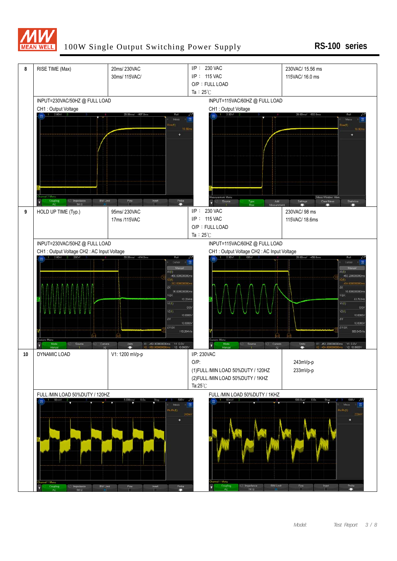

#### 100W Single Output Switching Power Supply **RS-100 series**

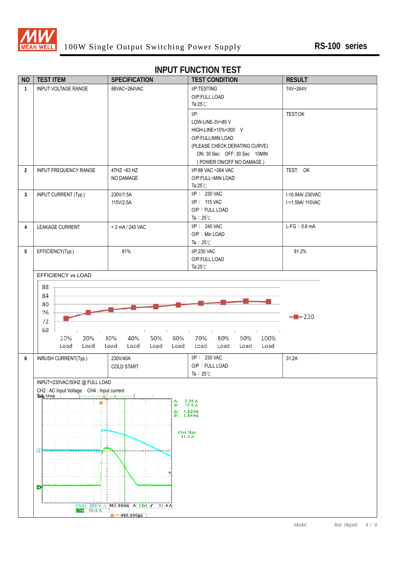

#### **INPUT FUNCTION TEST**

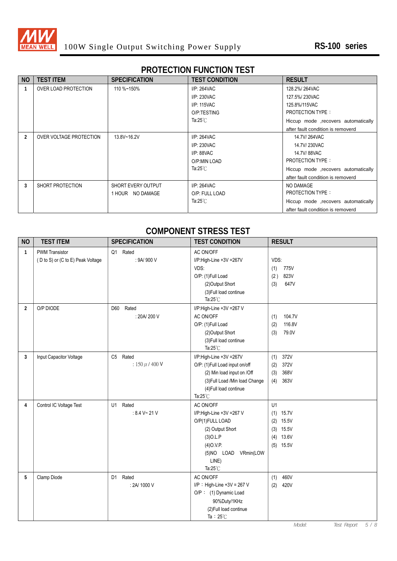

# **PROTECTION FUNCTION TEST**

| <b>NO</b> | <b>TEST ITEM</b>        | <b>SPECIFICATION</b> | <b>TEST CONDITION</b> | <b>RESULT</b>                        |
|-----------|-------------------------|----------------------|-----------------------|--------------------------------------|
|           | OVER LOAD PROTECTION    | 110 %~150%           | $I/P: 264$ VAC        | 128.2%/264VAC                        |
|           |                         |                      | I/P: 230VAC           | 127.5%/230VAC                        |
|           |                         |                      | I/P: 115VAC           | 125.8%/115VAC                        |
|           |                         |                      | O/P:TESTING           | <b>PROTECTION TYPE:</b>              |
|           |                         |                      | Ta:25 $°C$            | Hiccup mode , recovers automatically |
|           |                         |                      |                       | after fault condition is removerd    |
| 2         | OVER VOLTAGE PROTECTION | 13.8V~16.2V          | $I/P: 264$ VAC        | 14.7V/264VAC                         |
|           |                         |                      | I/P: 230VAC           | 14.7V/230VAC                         |
|           |                         |                      | I/P: 88VAC            | 14.7V/88VAC                          |
|           |                         |                      | O/P:MIN LOAD          | <b>PROTECTION TYPE:</b>              |
|           |                         |                      | Ta: $25^{\circ}$ C    | Hiccup mode , recovers automatically |
|           |                         |                      |                       | after fault condition is removerd    |
| 3         | SHORT PROTECTION        | SHORT EVERY OUTPUT   | $I/P: 264$ VAC        | NO DAMAGE                            |
|           |                         | 1 HOUR NO DAMAGE     | O/P: FULL LOAD        | <b>PROTECTION TYPE:</b>              |
|           |                         |                      | Ta: $25^{\circ}$ C    | Hiccup mode , recovers automatically |
|           |                         |                      |                       | after fault condition is removerd    |

### **COMPONENT STRESS TEST**

| <b>NO</b>      | <b>TEST ITEM</b>                  | <b>SPECIFICATION</b> | <b>TEST CONDITION</b>                        | <b>RESULT</b>                |
|----------------|-----------------------------------|----------------------|----------------------------------------------|------------------------------|
| $\mathbf{1}$   | <b>PWM Transistor</b>             | Q1 Rated             | AC ON/OFF                                    |                              |
|                | (D to S) or (C to E) Peak Voltage | : 9A/ 900 V          | I/P:High-Line +3V =267V                      | VDS:                         |
|                |                                   |                      | VDS:                                         | (1)<br>775V                  |
|                |                                   |                      | O/P: (1)Full Load                            | (2)<br>823V                  |
|                |                                   |                      | (2) Output Short                             | 647V<br>(3)                  |
|                |                                   |                      | (3) Full load continue                       |                              |
|                |                                   |                      | Ta: $25^{\circ}$ C                           |                              |
| $\overline{2}$ | O/P DIODE                         | D60<br>Rated         | I/P:High-Line +3V =267 V                     |                              |
|                |                                   | : 20A/200 V          | AC ON/OFF                                    | 104.7V<br>(1)                |
|                |                                   |                      | O/P: (1)Full Load                            | 116.8V<br>(2)                |
|                |                                   |                      | (2)Output Short                              | 79.0V<br>(3)                 |
|                |                                   |                      | (3) Full load continue                       |                              |
|                |                                   |                      | Ta: $25^{\circ}$ C                           |                              |
| 3              | Input Capacitor Voltage           | C5 Rated             | I/P:High-Line +3V =267V                      | 372V<br>(1)                  |
|                |                                   | : 150 $\mu$ / 400 V  | O/P: (1)Full Load input on/off               | 372V<br>(2)                  |
|                |                                   |                      | (2) Min load input on /Off                   | 368V<br>(3)                  |
|                |                                   |                      | (3) Full Load /Min load Change               | (4)<br>363V                  |
|                |                                   |                      | (4) Full load continue<br>Ta: $25^{\circ}$ C |                              |
|                |                                   |                      |                                              | U1                           |
| 4              | Control IC Voltage Test           | U1 Rated             | AC ON/OFF                                    |                              |
|                |                                   | : 8.4 V~ 21 V        | I/P:High-Line +3V =267 V                     | $(1)$ 15.7V                  |
|                |                                   |                      | O/P(1)FULL LOAD<br>(2) Output Short          | 15.5V<br>(2)<br>$(3)$ 15.5V  |
|                |                                   |                      | $(3)$ O.L.P                                  | $(4)$ 13.6V                  |
|                |                                   |                      | $(4)$ O.V.P.                                 | $(5)$ 15.5V                  |
|                |                                   |                      | (5)NO LOAD VRmin(LOW                         |                              |
|                |                                   |                      | LINE)                                        |                              |
|                |                                   |                      | Ta: $25^{\circ}$ C                           |                              |
| 5              | Clamp Diode                       | D1 Rated             | AC ON/OFF                                    | 460V<br>(1)                  |
|                |                                   | : 2A/ 1000 V         | $I/P$ : High-Line +3V = 267 V                | (2)<br>420V                  |
|                |                                   |                      | O/P: (1) Dynamic Load                        |                              |
|                |                                   |                      | 90%Duty/1KHz                                 |                              |
|                |                                   |                      | (2) Full load continue                       |                              |
|                |                                   |                      | Ta: $25^{\circ}$ C                           |                              |
|                |                                   |                      |                                              | 5/8<br>Model:<br>Test Report |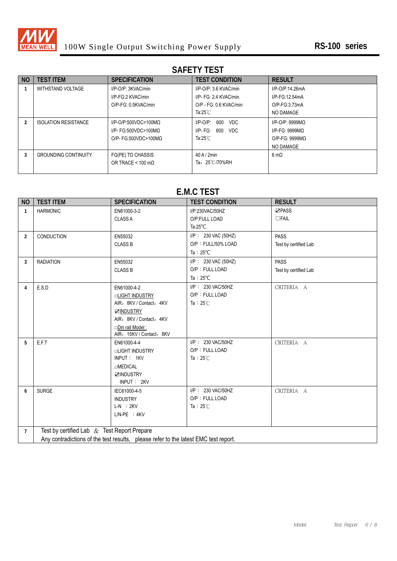

# **SAFETY TEST**

| N <sub>0</sub> | <b>TEST ITEM</b>            | <b>SPECIFICATION</b>             | <b>TEST CONDITION</b>         | <b>RESULT</b>       |
|----------------|-----------------------------|----------------------------------|-------------------------------|---------------------|
|                | WITHSTAND VOLTAGE           | I/P-O/P: 3KVAC/min               | $I/P$ -O/P: 3.6 KVAC/min      | I/P-O/P:14.26mA     |
|                |                             | I/P-FG:2 KVAC/min                | I/P- FG: 2.4 KVAC/min         | I/P-FG:12.54mA      |
|                |                             | O/P-FG: 0.5KVAC/min              | O/P - FG: 0.6 KVAC/min        | $O/P-FG:3.73mA$     |
|                |                             |                                  | Ta:25 $°C$                    | NO DAMAGE           |
|                | <b>ISOLATION RESISTANCE</b> | $I/P$ -O/P:500VDC>100MQ          | 600<br>$I/P$ -O/P:<br>VDC.    | $I/P$ -O/P: 9999MQ  |
|                |                             | I/P- FG:500VDC>100MQ             | 600<br><b>VDC</b><br>I/P- FG: | $I/P-FG: 9999MQ$    |
|                |                             | $O/P$ - FG:500VDC>100MQ          | Ta: $25^{\circ}$ C            | $O/P-FG: 9999MO$    |
|                |                             |                                  |                               | NO DAMAGE           |
| 3              | <b>GROUNDING CONTINUITY</b> | FG(PE) TO CHASSIS                | $40$ A / $2$ min              | $6 \text{ m}\Omega$ |
|                |                             | OR TRACE < $100 \text{ m}\Omega$ | Ta: 25℃/70%RH                 |                     |
|                |                             |                                  |                               |                     |

# **E.M.C TEST**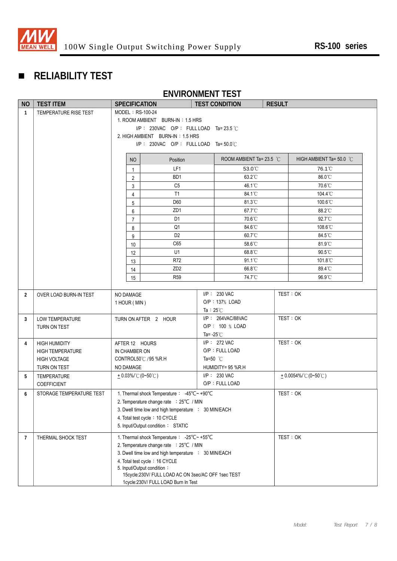

# **RELIABILITY TEST**

# **ENVIRONMENT TEST**

| ROOM AMBIENT Ta= 23.5 $^{\circ}$ C<br>HIGH AMBIENT Ta= 50.0 °C                             |  |  |
|--------------------------------------------------------------------------------------------|--|--|
|                                                                                            |  |  |
|                                                                                            |  |  |
|                                                                                            |  |  |
|                                                                                            |  |  |
|                                                                                            |  |  |
|                                                                                            |  |  |
| 76.1°C                                                                                     |  |  |
| 86.0°C                                                                                     |  |  |
| 70.6°C                                                                                     |  |  |
| 104.4°C                                                                                    |  |  |
| 100.6°C                                                                                    |  |  |
| 88.2°C                                                                                     |  |  |
| 92.7°C                                                                                     |  |  |
| 108.6°C                                                                                    |  |  |
| 84.5°C<br>81.9°C                                                                           |  |  |
| $90.5^{\circ}$ C                                                                           |  |  |
| 101.8°C                                                                                    |  |  |
| 89.4°C                                                                                     |  |  |
| 96.9°C                                                                                     |  |  |
|                                                                                            |  |  |
| TEST: OK                                                                                   |  |  |
|                                                                                            |  |  |
|                                                                                            |  |  |
| TEST: OK                                                                                   |  |  |
|                                                                                            |  |  |
|                                                                                            |  |  |
| TEST: OK                                                                                   |  |  |
|                                                                                            |  |  |
|                                                                                            |  |  |
| $+0.0054\%$ (0~50°C)                                                                       |  |  |
|                                                                                            |  |  |
| 1. Thermal shock Temperature : -45°C~ +90°C<br>TEST: OK                                    |  |  |
| 2. Temperature change rate : 25°C / MIN                                                    |  |  |
| 3. Dwell time low and high temperature : 30 MIN/EACH                                       |  |  |
| 4. Total test cycle: 10 CYCLE                                                              |  |  |
| 5. Input/Output condition: STATIC                                                          |  |  |
| TEST: OK<br>1. Thermal shock Temperature : -25°C~ +55°C                                    |  |  |
| 2. Temperature change rate : 25°C / MIN                                                    |  |  |
| 3. Dwell time low and high temperature : 30 MIN/EACH                                       |  |  |
| 4. Total test cycle: 16 CYCLE                                                              |  |  |
| 5. Input/Output condition:                                                                 |  |  |
| 15cycle:230V/ FULL LOAD AC ON 3sec/AC OFF 1sec TEST<br>1cycle:230V/ FULL LOAD Burn In Test |  |  |
|                                                                                            |  |  |